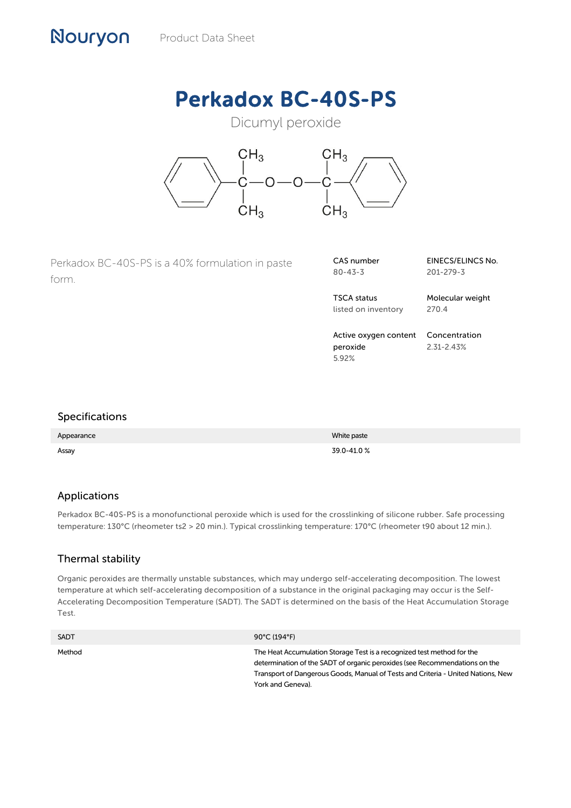# Perkadox BC-40S-PS

# Dicumyl peroxide



Perkadox BC-40S-PS is a 40% formulation in paste form.

| CAS number    |  |
|---------------|--|
| $80 - 43 - 3$ |  |

TSCA status listed on inventory Molecular weight 270.4

201-279-3

EINECS/ELINCS No.

Active oxygen content peroxide 5.92% Concentration 2.31-2.43%

#### Specifications

Nouryon

| Appearance | White paste |
|------------|-------------|
| Assay      | 39.0-41.0%  |

# Applications

Perkadox BC-40S-PS is a monofunctional peroxide which is used for the crosslinking of silicone rubber. Safe processing temperature: 130°C (rheometer ts2 > 20 min.). Typical crosslinking temperature: 170°C (rheometer t90 about 12 min.).

# Thermal stability

Organic peroxides are thermally unstable substances, which may undergo self-accelerating decomposition. The lowest temperature at which self-accelerating decomposition of a substance in the original packaging may occur is the Self-Accelerating Decomposition Temperature (SADT). The SADT is determined on the basis of the Heat Accumulation Storage Test.

| <b>SADT</b> | 90°C (194°F)                                                                                                                                                                                                                                                  |
|-------------|---------------------------------------------------------------------------------------------------------------------------------------------------------------------------------------------------------------------------------------------------------------|
| Method      | The Heat Accumulation Storage Test is a recognized test method for the<br>determination of the SADT of organic peroxides (see Recommendations on the<br>Transport of Dangerous Goods, Manual of Tests and Criteria - United Nations, New<br>York and Geneva). |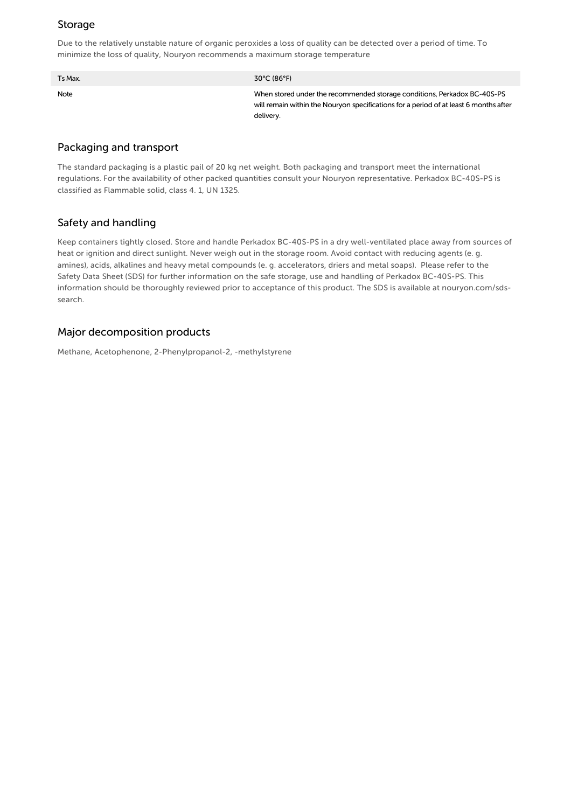#### Storage

Due to the relatively unstable nature of organic peroxides a loss of quality can be detected over a period of time. To minimize the loss of quality, Nouryon recommends a maximum storage temperature

| Ts Max. | $30^{\circ}$ C (86 $^{\circ}$ F)                                                                                                                                               |
|---------|--------------------------------------------------------------------------------------------------------------------------------------------------------------------------------|
| Note    | When stored under the recommended storage conditions, Perkadox BC-40S-PS<br>will remain within the Nouryon specifications for a period of at least 6 months after<br>delivery. |

#### Packaging and transport

The standard packaging is a plastic pail of 20 kg net weight. Both packaging and transport meet the international regulations. For the availability of other packed quantities consult your Nouryon representative. Perkadox BC-40S-PS is classified as Flammable solid, class 4. 1, UN 1325.

# Safety and handling

Keep containers tightly closed. Store and handle Perkadox BC-40S-PS in a dry well-ventilated place away from sources of heat or ignition and direct sunlight. Never weigh out in the storage room. Avoid contact with reducing agents (e. g. amines), acids, alkalines and heavy metal compounds (e. g. accelerators, driers and metal soaps). Please refer to the Safety Data Sheet (SDS) for further information on the safe storage, use and handling of Perkadox BC-40S-PS. This information should be thoroughly reviewed prior to acceptance of this product. The SDS is available at nouryon.com/sdssearch.

#### Major decomposition products

Methane, Acetophenone, 2-Phenylpropanol-2, -methylstyrene